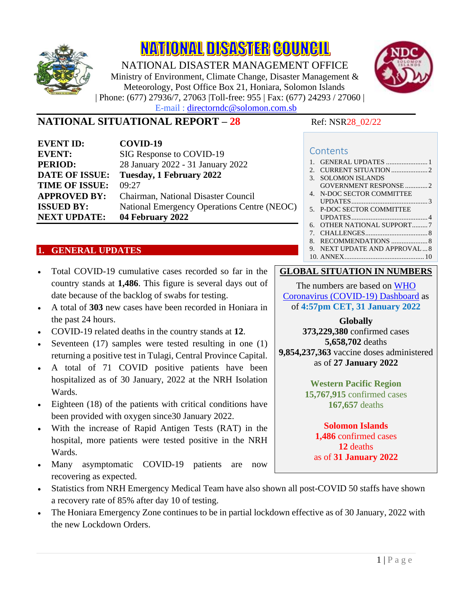

**NATIONAL DISASTER COUNCIL** 

NATIONAL DISASTER MANAGEMENT OFFICE Ministry of Environment, Climate Change, Disaster Management & Meteorology, Post Office Box 21, Honiara, Solomon Islands | Phone: (677) 27936/7, 27063 |Toll-free: 955 | Fax: (677) 24293 / 27060 | E-mail : directorndc@solomon.com.sb



# **NATIONAL SITUATIONAL REPORT – 28** Ref: NSR28 02/22

| <b>EVENT ID:</b>      | COVID-19                                    |
|-----------------------|---------------------------------------------|
| <b>EVENT:</b>         | SIG Response to COVID-19                    |
| <b>PERIOD:</b>        | 28 January 2022 - 31 January 2022           |
| <b>DATE OF ISSUE:</b> | Tuesday, 1 February 2022                    |
| <b>TIME OF ISSUE:</b> | 09:27                                       |
| <b>APPROVED BY:</b>   | Chairman, National Disaster Council         |
| <b>ISSUED BY:</b>     | National Emergency Operations Centre (NEOC) |
| <b>NEXT UPDATE:</b>   | 04 February 2022                            |

# <span id="page-0-0"></span>**1. GENERAL UPDATES**

- Total COVID-19 cumulative cases recorded so far in the country stands at **1,486**. This figure is several days out of date because of the backlog of swabs for testing.
- A total of **303** new cases have been recorded in Honiara in the past 24 hours.
- COVID-19 related deaths in the country stands at **12**.
- Seventeen (17) samples were tested resulting in one (1) returning a positive test in Tulagi, Central Province Capital.
- A total of 71 COVID positive patients have been hospitalized as of 30 January, 2022 at the NRH Isolation Wards.
- Eighteen (18) of the patients with critical conditions have been provided with oxygen since30 January 2022.
- With the increase of Rapid Antigen Tests (RAT) in the hospital, more patients were tested positive in the NRH Wards.
- Many asymptomatic COVID-19 patients are now recovering as expected.

#### **Contents**

1. [GENERAL UPDATES](#page-0-0) .................... 2. [CURRENT SITUATION.....................2](#page-1-0) 3. [SOLOMON ISLANDS](#page-1-1)  [GOVERNMENT RESPONSE](#page-1-1) .............2 4. [N-DOC SECTOR COMMITTEE](#page-2-0)  [UPDATES............................................3](#page-2-0) 5. [P-DOC SECTOR COMMITTEE](#page-3-0)  [UPDATES............................................4](#page-3-0) 6. [OTHER NATIONAL SUPPORT.........7](#page-6-0) 7. [CHALLENGES....................................8](#page-7-0) 8. [RECOMMENDATIONS](#page-7-1) .....................8 9. [NEXT UPDATE AND APPROVAL...8](#page-7-2) 10. [ANNEX..............................................](#page-9-0) 10

#### **GLOBAL SITUATION IN NUMBERS**

The numbers are based on [WHO](https://covid19.who.int/)  [Coronavirus \(COVID-19\) Dashboard](https://covid19.who.int/) as of **4:57pm CET, 31 January 2022**

#### **Globally**

**373,229,380** confirmed cases **5,658,702** deaths **9,854,237,363** vaccine doses administered as of **27 January 2022**

> **Western Pacific Region 15,767,915** confirmed cases **167,657** deaths

# **Solomon Islands**

**1,486** confirmed cases **12** deaths as of **31 January 2022**

- Statistics from NRH Emergency Medical Team have also shown all post-COVID 50 staffs have shown a recovery rate of 85% after day 10 of testing.
- The Honiara Emergency Zone continues to be in partial lockdown effective as of 30 January, 2022 with the new Lockdown Orders.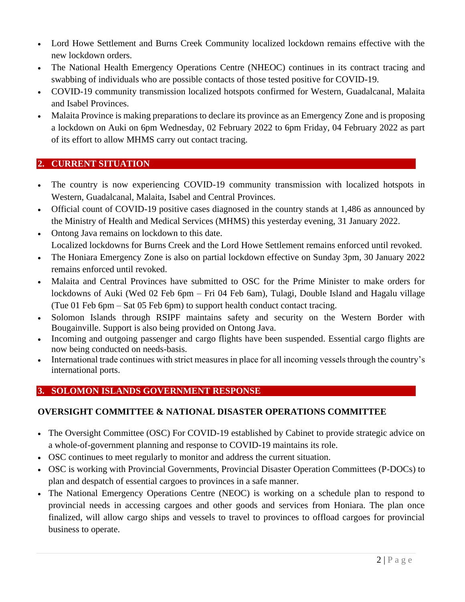- Lord Howe Settlement and Burns Creek Community localized lockdown remains effective with the new lockdown orders.
- The National Health Emergency Operations Centre (NHEOC) continues in its contract tracing and swabbing of individuals who are possible contacts of those tested positive for COVID-19.
- COVID-19 community transmission localized hotspots confirmed for Western, Guadalcanal, Malaita and Isabel Provinces.
- Malaita Province is making preparations to declare its province as an Emergency Zone and is proposing a lockdown on Auki on 6pm Wednesday, 02 February 2022 to 6pm Friday, 04 February 2022 as part of its effort to allow MHMS carry out contact tracing.

# <span id="page-1-0"></span>**2. CURRENT SITUATION**

- The country is now experiencing COVID-19 community transmission with localized hotspots in Western, Guadalcanal, Malaita, Isabel and Central Provinces.
- Official count of COVID-19 positive cases diagnosed in the country stands at 1,486 as announced by the Ministry of Health and Medical Services (MHMS) this yesterday evening, 31 January 2022.
- Ontong Java remains on lockdown to this date. Localized lockdowns for Burns Creek and the Lord Howe Settlement remains enforced until revoked.
- The Honiara Emergency Zone is also on partial lockdown effective on Sunday 3pm, 30 January 2022 remains enforced until revoked.
- Malaita and Central Provinces have submitted to OSC for the Prime Minister to make orders for lockdowns of Auki (Wed 02 Feb 6pm – Fri 04 Feb 6am), Tulagi, Double Island and Hagalu village (Tue 01 Feb 6pm – Sat 05 Feb 6pm) to support health conduct contact tracing.
- Solomon Islands through RSIPF maintains safety and security on the Western Border with Bougainville. Support is also being provided on Ontong Java.
- Incoming and outgoing passenger and cargo flights have been suspended. Essential cargo flights are now being conducted on needs-basis.
- International trade continues with strict measures in place for all incoming vessels through the country's international ports.

# <span id="page-1-1"></span>**3. SOLOMON ISLANDS GOVERNMENT RESPONSE**

# **OVERSIGHT COMMITTEE & NATIONAL DISASTER OPERATIONS COMMITTEE**

- The Oversight Committee (OSC) For COVID-19 established by Cabinet to provide strategic advice on a whole-of-government planning and response to COVID-19 maintains its role.
- OSC continues to meet regularly to monitor and address the current situation.
- OSC is working with Provincial Governments, Provincial Disaster Operation Committees (P-DOCs) to plan and despatch of essential cargoes to provinces in a safe manner.
- The National Emergency Operations Centre (NEOC) is working on a schedule plan to respond to provincial needs in accessing cargoes and other goods and services from Honiara. The plan once finalized, will allow cargo ships and vessels to travel to provinces to offload cargoes for provincial business to operate.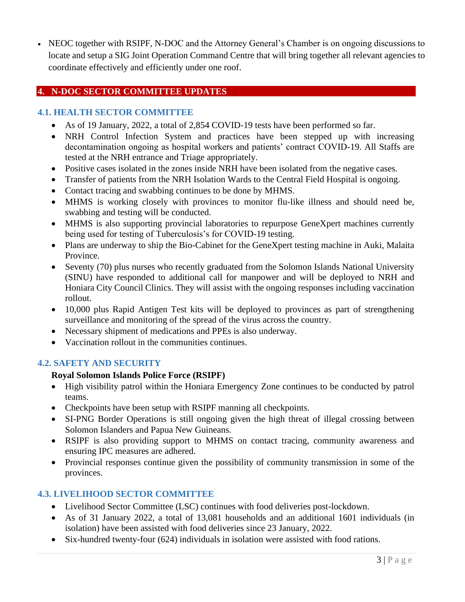• NEOC together with RSIPF, N-DOC and the Attorney General's Chamber is on ongoing discussions to locate and setup a SIG Joint Operation Command Centre that will bring together all relevant agencies to coordinate effectively and efficiently under one roof.

# <span id="page-2-0"></span>**4. N-DOC SECTOR COMMITTEE UPDATES**

#### **4.1. HEALTH SECTOR COMMITTEE**

- As of 19 January, 2022, a total of 2,854 COVID-19 tests have been performed so far.
- NRH Control Infection System and practices have been stepped up with increasing decontamination ongoing as hospital workers and patients' contract COVID-19. All Staffs are tested at the NRH entrance and Triage appropriately.
- Positive cases isolated in the zones inside NRH have been isolated from the negative cases.
- Transfer of patients from the NRH Isolation Wards to the Central Field Hospital is ongoing.
- Contact tracing and swabbing continues to be done by MHMS.
- MHMS is working closely with provinces to monitor flu-like illness and should need be, swabbing and testing will be conducted.
- MHMS is also supporting provincial laboratories to repurpose GeneXpert machines currently being used for testing of Tuberculosis's for COVID-19 testing.
- Plans are underway to ship the Bio-Cabinet for the GeneXpert testing machine in Auki, Malaita Province.
- Seventy (70) plus nurses who recently graduated from the Solomon Islands National University (SINU) have responded to additional call for manpower and will be deployed to NRH and Honiara City Council Clinics. They will assist with the ongoing responses including vaccination rollout.
- 10,000 plus Rapid Antigen Test kits will be deployed to provinces as part of strengthening surveillance and monitoring of the spread of the virus across the country.
- Necessary shipment of medications and PPEs is also underway.
- Vaccination rollout in the communities continues.

#### **4.2. SAFETY AND SECURITY**

#### **Royal Solomon Islands Police Force (RSIPF)**

- High visibility patrol within the Honiara Emergency Zone continues to be conducted by patrol teams.
- Checkpoints have been setup with RSIPF manning all checkpoints.
- SI-PNG Border Operations is still ongoing given the high threat of illegal crossing between Solomon Islanders and Papua New Guineans.
- RSIPF is also providing support to MHMS on contact tracing, community awareness and ensuring IPC measures are adhered.
- Provincial responses continue given the possibility of community transmission in some of the provinces.

#### **4.3. LIVELIHOOD SECTOR COMMITTEE**

- Livelihood Sector Committee (LSC) continues with food deliveries post-lockdown.
- As of 31 January 2022, a total of 13,081 households and an additional 1601 individuals (in isolation) have been assisted with food deliveries since 23 January, 2022.
- Six-hundred twenty-four (624) individuals in isolation were assisted with food rations.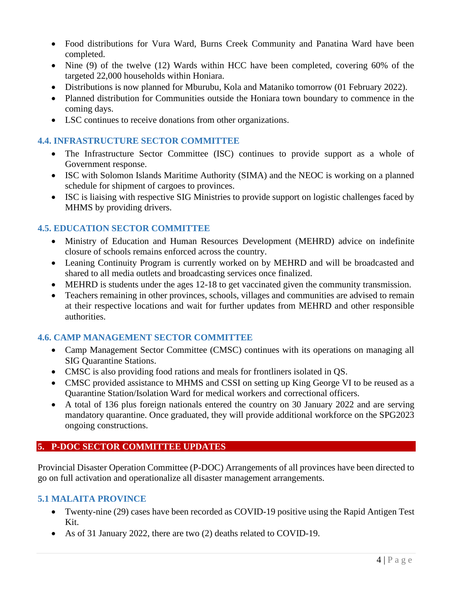- Food distributions for Vura Ward, Burns Creek Community and Panatina Ward have been completed.
- Nine (9) of the twelve (12) Wards within HCC have been completed, covering 60% of the targeted 22,000 households within Honiara.
- Distributions is now planned for Mburubu, Kola and Mataniko tomorrow (01 February 2022).
- Planned distribution for Communities outside the Honiara town boundary to commence in the coming days.
- LSC continues to receive donations from other organizations.

### **4.4. INFRASTRUCTURE SECTOR COMMITTEE**

- The Infrastructure Sector Committee (ISC) continues to provide support as a whole of Government response.
- ISC with Solomon Islands Maritime Authority (SIMA) and the NEOC is working on a planned schedule for shipment of cargoes to provinces.
- ISC is liaising with respective SIG Ministries to provide support on logistic challenges faced by MHMS by providing drivers.

# **4.5. EDUCATION SECTOR COMMITTEE**

- Ministry of Education and Human Resources Development (MEHRD) advice on indefinite closure of schools remains enforced across the country.
- Leaning Continuity Program is currently worked on by MEHRD and will be broadcasted and shared to all media outlets and broadcasting services once finalized.
- MEHRD is students under the ages 12-18 to get vaccinated given the community transmission.
- Teachers remaining in other provinces, schools, villages and communities are advised to remain at their respective locations and wait for further updates from MEHRD and other responsible authorities.

# **4.6. CAMP MANAGEMENT SECTOR COMMITTEE**

- Camp Management Sector Committee (CMSC) continues with its operations on managing all SIG Quarantine Stations.
- CMSC is also providing food rations and meals for frontliners isolated in QS.
- CMSC provided assistance to MHMS and CSSI on setting up King George VI to be reused as a Quarantine Station/Isolation Ward for medical workers and correctional officers.
- A total of 136 plus foreign nationals entered the country on 30 January 2022 and are serving mandatory quarantine. Once graduated, they will provide additional workforce on the SPG2023 ongoing constructions.

# <span id="page-3-0"></span>**5. P-DOC SECTOR COMMITTEE UPDATES**

Provincial Disaster Operation Committee (P-DOC) Arrangements of all provinces have been directed to go on full activation and operationalize all disaster management arrangements.

# **5.1 MALAITA PROVINCE**

- Twenty-nine (29) cases have been recorded as COVID-19 positive using the Rapid Antigen Test Kit.
- As of 31 January 2022, there are two (2) deaths related to COVID-19.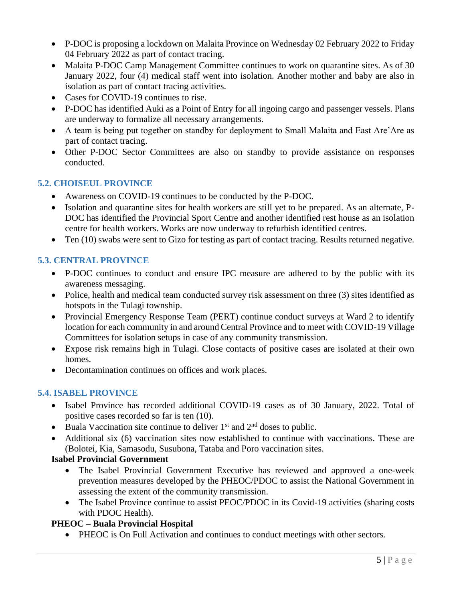- P-DOC is proposing a lockdown on Malaita Province on Wednesday 02 February 2022 to Friday 04 February 2022 as part of contact tracing.
- Malaita P-DOC Camp Management Committee continues to work on quarantine sites. As of 30 January 2022, four (4) medical staff went into isolation. Another mother and baby are also in isolation as part of contact tracing activities.
- Cases for COVID-19 continues to rise.
- P-DOC has identified Auki as a Point of Entry for all ingoing cargo and passenger vessels. Plans are underway to formalize all necessary arrangements.
- A team is being put together on standby for deployment to Small Malaita and East Are'Are as part of contact tracing.
- Other P-DOC Sector Committees are also on standby to provide assistance on responses conducted.

# **5.2. CHOISEUL PROVINCE**

- Awareness on COVID-19 continues to be conducted by the P-DOC.
- Isolation and quarantine sites for health workers are still yet to be prepared. As an alternate, P-DOC has identified the Provincial Sport Centre and another identified rest house as an isolation centre for health workers. Works are now underway to refurbish identified centres.
- Ten (10) swabs were sent to Gizo for testing as part of contact tracing. Results returned negative.

# **5.3. CENTRAL PROVINCE**

- P-DOC continues to conduct and ensure IPC measure are adhered to by the public with its awareness messaging.
- Police, health and medical team conducted survey risk assessment on three (3) sites identified as hotspots in the Tulagi township.
- Provincial Emergency Response Team (PERT) continue conduct surveys at Ward 2 to identify location for each community in and around Central Province and to meet with COVID-19 Village Committees for isolation setups in case of any community transmission.
- Expose risk remains high in Tulagi. Close contacts of positive cases are isolated at their own homes.
- Decontamination continues on offices and work places.

# **5.4. ISABEL PROVINCE**

- Isabel Province has recorded additional COVID-19 cases as of 30 January, 2022. Total of positive cases recorded so far is ten (10).
- Buala Vaccination site continue to deliver  $1<sup>st</sup>$  and  $2<sup>nd</sup>$  doses to public.
- Additional six (6) vaccination sites now established to continue with vaccinations. These are (Bolotei, Kia, Samasodu, Susubona, Tataba and Poro vaccination sites.

#### **Isabel Provincial Government**

- The Isabel Provincial Government Executive has reviewed and approved a one-week prevention measures developed by the PHEOC/PDOC to assist the National Government in assessing the extent of the community transmission.
- The Isabel Province continue to assist PEOC/PDOC in its Covid-19 activities (sharing costs with PDOC Health).

# **PHEOC – Buala Provincial Hospital**

• PHEOC is On Full Activation and continues to conduct meetings with other sectors.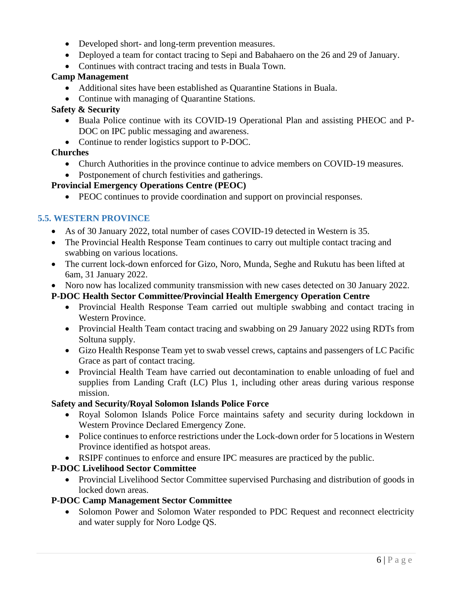- Developed short- and long-term prevention measures.
- Deployed a team for contact tracing to Sepi and Babahaero on the 26 and 29 of January.
- Continues with contract tracing and tests in Buala Town.

#### **Camp Management**

- Additional sites have been established as Quarantine Stations in Buala.
- Continue with managing of Quarantine Stations.

# **Safety & Security**

- Buala Police continue with its COVID-19 Operational Plan and assisting PHEOC and P-DOC on IPC public messaging and awareness.
- Continue to render logistics support to P-DOC.

# **Churches**

- Church Authorities in the province continue to advice members on COVID-19 measures.
- Postponement of church festivities and gatherings.

# **Provincial Emergency Operations Centre (PEOC)**

• PEOC continues to provide coordination and support on provincial responses.

# **5.5. WESTERN PROVINCE**

- As of 30 January 2022, total number of cases COVID-19 detected in Western is 35.
- The Provincial Health Response Team continues to carry out multiple contact tracing and swabbing on various locations.
- The current lock-down enforced for Gizo, Noro, Munda, Seghe and Rukutu has been lifted at 6am, 31 January 2022.
- Noro now has localized community transmission with new cases detected on 30 January 2022.

# **P-DOC Health Sector Committee/Provincial Health Emergency Operation Centre**

- Provincial Health Response Team carried out multiple swabbing and contact tracing in Western Province.
- Provincial Health Team contact tracing and swabbing on 29 January 2022 using RDTs from Soltuna supply.
- Gizo Health Response Team yet to swab vessel crews, captains and passengers of LC Pacific Grace as part of contact tracing.
- Provincial Health Team have carried out decontamination to enable unloading of fuel and supplies from Landing Craft (LC) Plus 1, including other areas during various response mission.

# **Safety and Security/Royal Solomon Islands Police Force**

- Royal Solomon Islands Police Force maintains safety and security during lockdown in Western Province Declared Emergency Zone.
- Police continues to enforce restrictions under the Lock-down order for 5 locations in Western Province identified as hotspot areas.
- RSIPF continues to enforce and ensure IPC measures are practiced by the public.

# **P-DOC Livelihood Sector Committee**

• Provincial Livelihood Sector Committee supervised Purchasing and distribution of goods in locked down areas.

# **P-DOC Camp Management Sector Committee**

• Solomon Power and Solomon Water responded to PDC Request and reconnect electricity and water supply for Noro Lodge QS.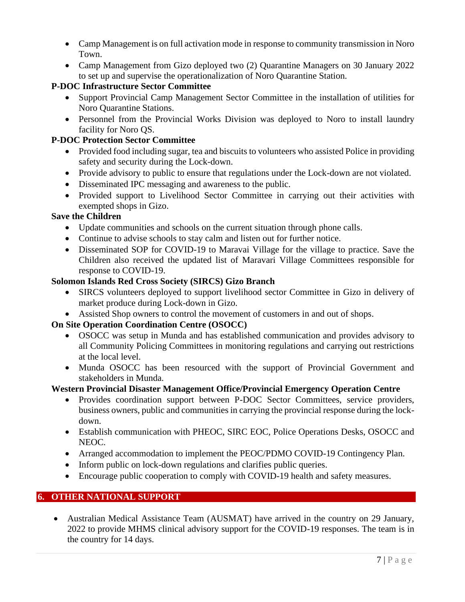- Camp Management is on full activation mode in response to community transmission in Noro Town.
- Camp Management from Gizo deployed two (2) Quarantine Managers on 30 January 2022 to set up and supervise the operationalization of Noro Quarantine Station.

# **P-DOC Infrastructure Sector Committee**

- Support Provincial Camp Management Sector Committee in the installation of utilities for Noro Quarantine Stations.
- Personnel from the Provincial Works Division was deployed to Noro to install laundry facility for Noro QS.

# **P-DOC Protection Sector Committee**

- Provided food including sugar, tea and biscuits to volunteers who assisted Police in providing safety and security during the Lock-down.
- Provide advisory to public to ensure that regulations under the Lock-down are not violated.
- Disseminated IPC messaging and awareness to the public.
- Provided support to Livelihood Sector Committee in carrying out their activities with exempted shops in Gizo.

# **Save the Children**

- Update communities and schools on the current situation through phone calls.
- Continue to advise schools to stay calm and listen out for further notice.
- Disseminated SOP for COVID-19 to Maravai Village for the village to practice. Save the Children also received the updated list of Maravari Village Committees responsible for response to COVID-19.

# **Solomon Islands Red Cross Society (SIRCS) Gizo Branch**

- SIRCS volunteers deployed to support livelihood sector Committee in Gizo in delivery of market produce during Lock-down in Gizo.
- Assisted Shop owners to control the movement of customers in and out of shops.

# **On Site Operation Coordination Centre (OSOCC)**

- OSOCC was setup in Munda and has established communication and provides advisory to all Community Policing Committees in monitoring regulations and carrying out restrictions at the local level.
- Munda OSOCC has been resourced with the support of Provincial Government and stakeholders in Munda.

#### **Western Provincial Disaster Management Office/Provincial Emergency Operation Centre**

- Provides coordination support between P-DOC Sector Committees, service providers, business owners, public and communities in carrying the provincial response during the lockdown.
- Establish communication with PHEOC, SIRC EOC, Police Operations Desks, OSOCC and NEOC.
- Arranged accommodation to implement the PEOC/PDMO COVID-19 Contingency Plan.
- Inform public on lock-down regulations and clarifies public queries.
- Encourage public cooperation to comply with COVID-19 health and safety measures.

#### <span id="page-6-0"></span>**6. OTHER NATIONAL SUPPORT**

• Australian Medical Assistance Team (AUSMAT) have arrived in the country on 29 January, 2022 to provide MHMS clinical advisory support for the COVID-19 responses. The team is in the country for 14 days.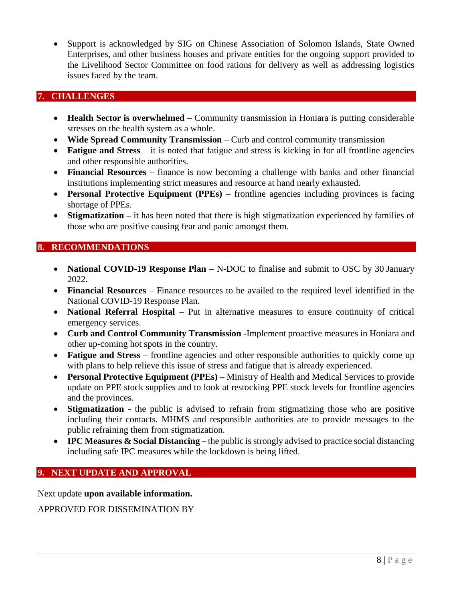• Support is acknowledged by SIG on Chinese Association of Solomon Islands, State Owned Enterprises, and other business houses and private entities for the ongoing support provided to the Livelihood Sector Committee on food rations for delivery as well as addressing logistics issues faced by the team.

### <span id="page-7-0"></span>**7. CHALLENGES**

- **Health Sector is overwhelmed** Community transmission in Honiara is putting considerable stresses on the health system as a whole.
- **Wide Spread Community Transmission**  Curb and control community transmission
- **Fatigue and Stress** it is noted that fatigue and stress is kicking in for all frontline agencies and other responsible authorities.
- **Financial Resources** finance is now becoming a challenge with banks and other financial institutions implementing strict measures and resource at hand nearly exhausted.
- **Personal Protective Equipment (PPEs)** frontline agencies including provinces is facing shortage of PPEs.
- **Stigmatization** it has been noted that there is high stigmatization experienced by families of those who are positive causing fear and panic amongst them.

# <span id="page-7-1"></span>**8. RECOMMENDATIONS**

- **National COVID-19 Response Plan** N-DOC to finalise and submit to OSC by 30 January 2022.
- **Financial Resources** Finance resources to be availed to the required level identified in the National COVID-19 Response Plan.
- **National Referral Hospital** Put in alternative measures to ensure continuity of critical emergency services.
- **Curb and Control Community Transmission** -Implement proactive measures in Honiara and other up-coming hot spots in the country.
- **Fatigue and Stress** frontline agencies and other responsible authorities to quickly come up with plans to help relieve this issue of stress and fatigue that is already experienced.
- **Personal Protective Equipment (PPEs)** Ministry of Health and Medical Services to provide update on PPE stock supplies and to look at restocking PPE stock levels for frontline agencies and the provinces.
- **Stigmatization** the public is advised to refrain from stigmatizing those who are positive including their contacts. MHMS and responsible authorities are to provide messages to the public refraining them from stigmatization.
- **IPC Measures & Social Distancing –** the public is strongly advised to practice social distancing including safe IPC measures while the lockdown is being lifted.

# <span id="page-7-2"></span>**9. NEXT UPDATE AND APPROVAL**

Next update **upon available information.**

APPROVED FOR DISSEMINATION BY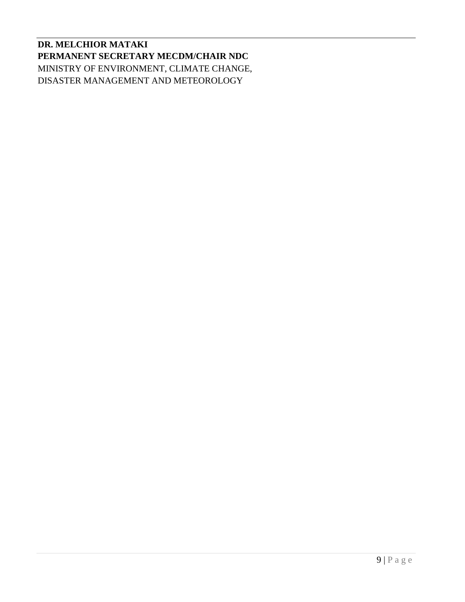**DR. MELCHIOR MATAKI PERMANENT SECRETARY MECDM/CHAIR NDC** MINISTRY OF ENVIRONMENT, CLIMATE CHANGE, DISASTER MANAGEMENT AND METEOROLOGY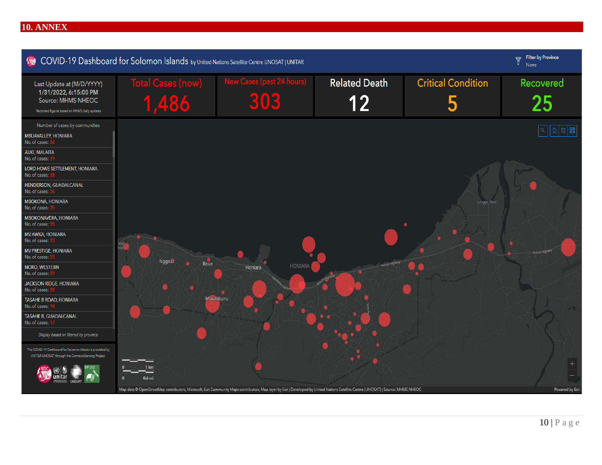#### 10. ANNEX

<span id="page-9-0"></span>